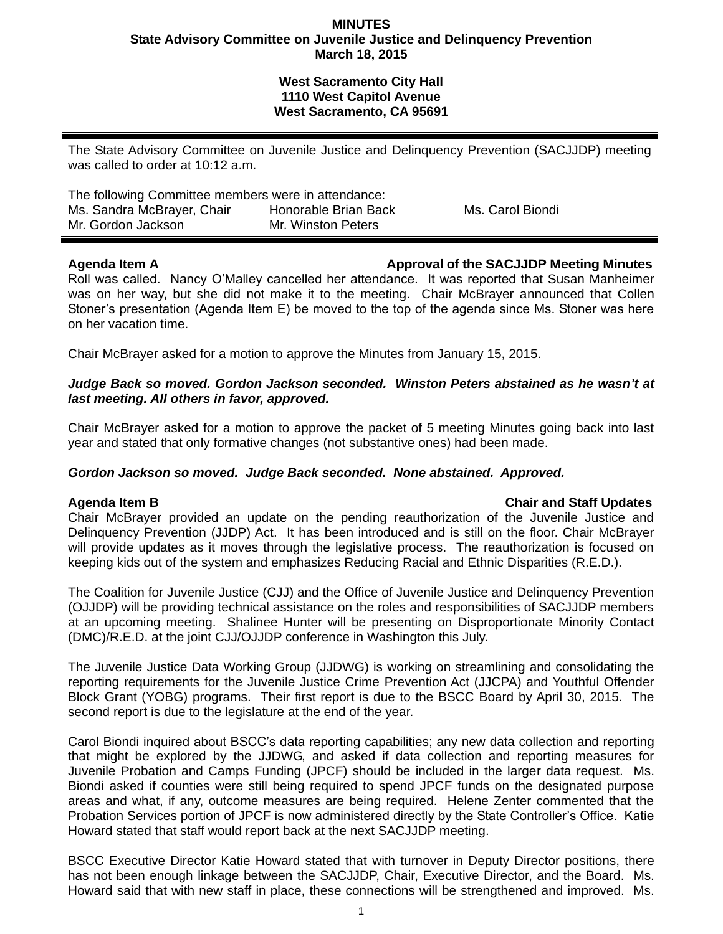## **MINUTES State Advisory Committee on Juvenile Justice and Delinquency Prevention March 18, 2015**

# **West Sacramento City Hall 1110 West Capitol Avenue West Sacramento, CA 95691**

The State Advisory Committee on Juvenile Justice and Delinquency Prevention (SACJJDP) meeting was called to order at 10:12 a.m.

| The following Committee members were in attendance: |                      |                  |
|-----------------------------------------------------|----------------------|------------------|
| Ms. Sandra McBrayer, Chair                          | Honorable Brian Back | Ms. Carol Biondi |
| Mr. Gordon Jackson                                  | Mr. Winston Peters   |                  |

# **Agenda Item A Approval of the SACJJDP Meeting Minutes**

Roll was called. Nancy O'Malley cancelled her attendance. It was reported that Susan Manheimer was on her way, but she did not make it to the meeting. Chair McBrayer announced that Collen Stoner's presentation (Agenda Item E) be moved to the top of the agenda since Ms. Stoner was here on her vacation time.

Chair McBrayer asked for a motion to approve the Minutes from January 15, 2015.

# *Judge Back so moved. Gordon Jackson seconded. Winston Peters abstained as he wasn't at last meeting. All others in favor, approved.*

Chair McBrayer asked for a motion to approve the packet of 5 meeting Minutes going back into last year and stated that only formative changes (not substantive ones) had been made.

# *Gordon Jackson so moved. Judge Back seconded. None abstained. Approved.*

## **Agenda Item B Chair and Staff Updates**

Chair McBrayer provided an update on the pending reauthorization of the Juvenile Justice and Delinquency Prevention (JJDP) Act. It has been introduced and is still on the floor. Chair McBrayer will provide updates as it moves through the legislative process. The reauthorization is focused on keeping kids out of the system and emphasizes Reducing Racial and Ethnic Disparities (R.E.D.).

The Coalition for Juvenile Justice (CJJ) and the Office of Juvenile Justice and Delinquency Prevention (OJJDP) will be providing technical assistance on the roles and responsibilities of SACJJDP members at an upcoming meeting. Shalinee Hunter will be presenting on Disproportionate Minority Contact (DMC)/R.E.D. at the joint CJJ/OJJDP conference in Washington this July.

The Juvenile Justice Data Working Group (JJDWG) is working on streamlining and consolidating the reporting requirements for the Juvenile Justice Crime Prevention Act (JJCPA) and Youthful Offender Block Grant (YOBG) programs. Their first report is due to the BSCC Board by April 30, 2015. The second report is due to the legislature at the end of the year.

Carol Biondi inquired about BSCC's data reporting capabilities; any new data collection and reporting that might be explored by the JJDWG, and asked if data collection and reporting measures for Juvenile Probation and Camps Funding (JPCF) should be included in the larger data request. Ms. Biondi asked if counties were still being required to spend JPCF funds on the designated purpose areas and what, if any, outcome measures are being required. Helene Zenter commented that the Probation Services portion of JPCF is now administered directly by the State Controller's Office. Katie Howard stated that staff would report back at the next SACJJDP meeting.

BSCC Executive Director Katie Howard stated that with turnover in Deputy Director positions, there has not been enough linkage between the SACJJDP, Chair, Executive Director, and the Board. Ms. Howard said that with new staff in place, these connections will be strengthened and improved. Ms.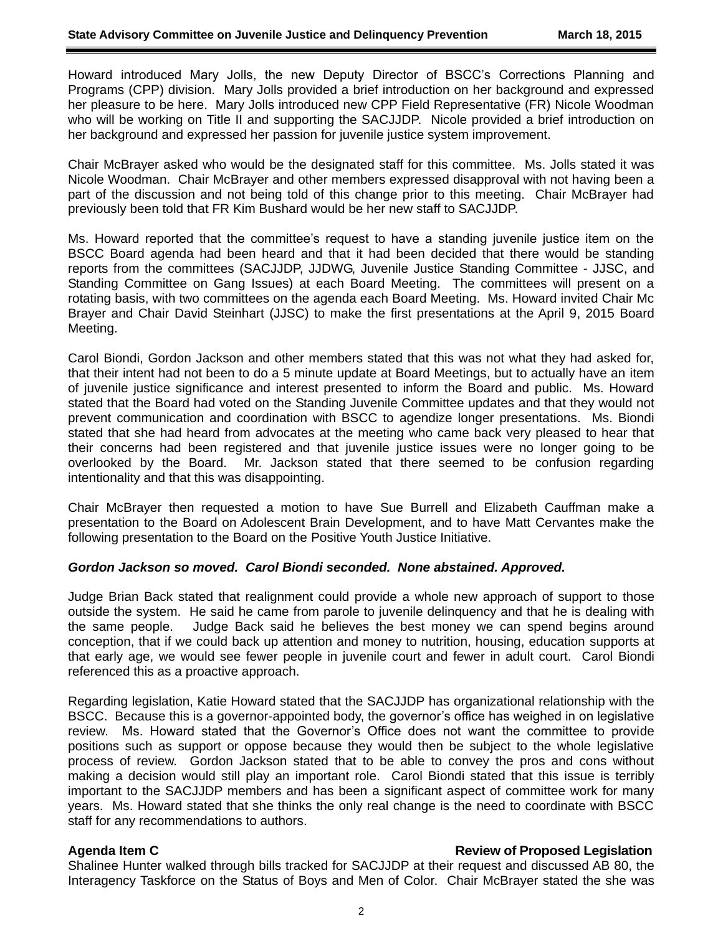Howard introduced Mary Jolls, the new Deputy Director of BSCC's Corrections Planning and Programs (CPP) division. Mary Jolls provided a brief introduction on her background and expressed her pleasure to be here. Mary Jolls introduced new CPP Field Representative (FR) Nicole Woodman who will be working on Title II and supporting the SACJJDP. Nicole provided a brief introduction on her background and expressed her passion for juvenile justice system improvement.

Chair McBrayer asked who would be the designated staff for this committee. Ms. Jolls stated it was Nicole Woodman. Chair McBrayer and other members expressed disapproval with not having been a part of the discussion and not being told of this change prior to this meeting. Chair McBrayer had previously been told that FR Kim Bushard would be her new staff to SACJJDP.

Ms. Howard reported that the committee's request to have a standing juvenile justice item on the BSCC Board agenda had been heard and that it had been decided that there would be standing reports from the committees (SACJJDP, JJDWG, Juvenile Justice Standing Committee - JJSC, and Standing Committee on Gang Issues) at each Board Meeting. The committees will present on a rotating basis, with two committees on the agenda each Board Meeting. Ms. Howard invited Chair Mc Brayer and Chair David Steinhart (JJSC) to make the first presentations at the April 9, 2015 Board Meeting.

Carol Biondi, Gordon Jackson and other members stated that this was not what they had asked for, that their intent had not been to do a 5 minute update at Board Meetings, but to actually have an item of juvenile justice significance and interest presented to inform the Board and public. Ms. Howard stated that the Board had voted on the Standing Juvenile Committee updates and that they would not prevent communication and coordination with BSCC to agendize longer presentations. Ms. Biondi stated that she had heard from advocates at the meeting who came back very pleased to hear that their concerns had been registered and that juvenile justice issues were no longer going to be overlooked by the Board. Mr. Jackson stated that there seemed to be confusion regarding intentionality and that this was disappointing.

Chair McBrayer then requested a motion to have Sue Burrell and Elizabeth Cauffman make a presentation to the Board on Adolescent Brain Development, and to have Matt Cervantes make the following presentation to the Board on the Positive Youth Justice Initiative.

## *Gordon Jackson so moved. Carol Biondi seconded. None abstained. Approved.*

Judge Brian Back stated that realignment could provide a whole new approach of support to those outside the system. He said he came from parole to juvenile delinquency and that he is dealing with the same people. Judge Back said he believes the best money we can spend begins around conception, that if we could back up attention and money to nutrition, housing, education supports at that early age, we would see fewer people in juvenile court and fewer in adult court. Carol Biondi referenced this as a proactive approach.

Regarding legislation, Katie Howard stated that the SACJJDP has organizational relationship with the BSCC. Because this is a governor-appointed body, the governor's office has weighed in on legislative review. Ms. Howard stated that the Governor's Office does not want the committee to provide positions such as support or oppose because they would then be subject to the whole legislative process of review. Gordon Jackson stated that to be able to convey the pros and cons without making a decision would still play an important role. Carol Biondi stated that this issue is terribly important to the SACJJDP members and has been a significant aspect of committee work for many years. Ms. Howard stated that she thinks the only real change is the need to coordinate with BSCC staff for any recommendations to authors.

## **Agenda Item C Review of Proposed Legislation**

Shalinee Hunter walked through bills tracked for SACJJDP at their request and discussed AB 80, the Interagency Taskforce on the Status of Boys and Men of Color. Chair McBrayer stated the she was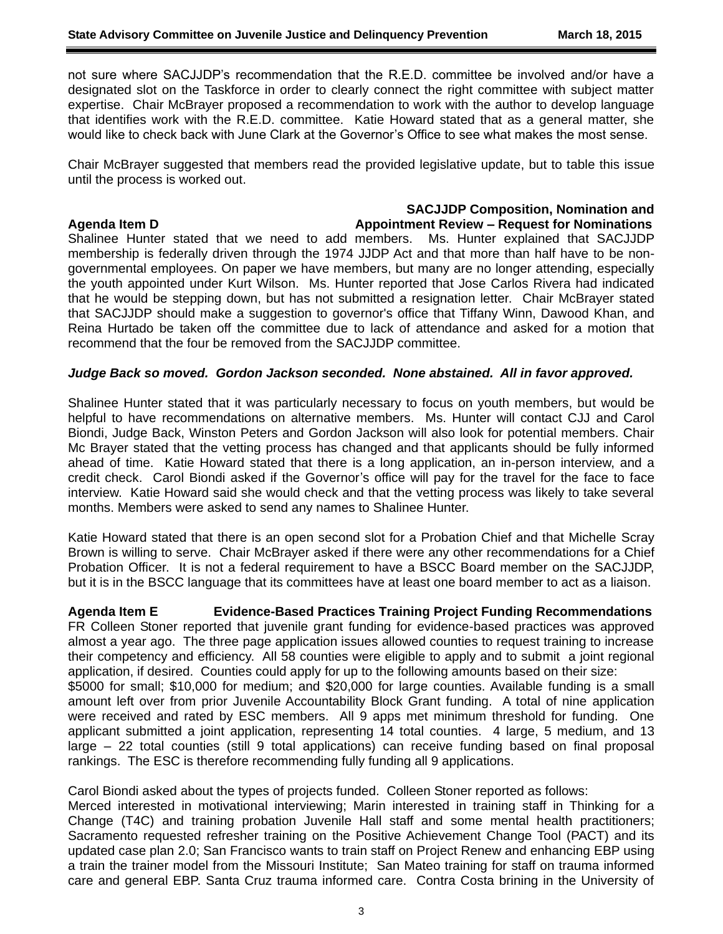not sure where SACJJDP's recommendation that the R.E.D. committee be involved and/or have a designated slot on the Taskforce in order to clearly connect the right committee with subject matter expertise. Chair McBrayer proposed a recommendation to work with the author to develop language that identifies work with the R.E.D. committee. Katie Howard stated that as a general matter, she would like to check back with June Clark at the Governor's Office to see what makes the most sense.

Chair McBrayer suggested that members read the provided legislative update, but to table this issue until the process is worked out.

#### **SACJJDP Composition, Nomination and Agenda Item D Appointment Review – Request for Nominations**

Shalinee Hunter stated that we need to add members. Ms. Hunter explained that SACJJDP membership is federally driven through the 1974 JJDP Act and that more than half have to be nongovernmental employees. On paper we have members, but many are no longer attending, especially the youth appointed under Kurt Wilson. Ms. Hunter reported that Jose Carlos Rivera had indicated that he would be stepping down, but has not submitted a resignation letter. Chair McBrayer stated that SACJJDP should make a suggestion to governor's office that Tiffany Winn, Dawood Khan, and Reina Hurtado be taken off the committee due to lack of attendance and asked for a motion that recommend that the four be removed from the SACJJDP committee.

## *Judge Back so moved. Gordon Jackson seconded. None abstained. All in favor approved.*

Shalinee Hunter stated that it was particularly necessary to focus on youth members, but would be helpful to have recommendations on alternative members. Ms. Hunter will contact CJJ and Carol Biondi, Judge Back, Winston Peters and Gordon Jackson will also look for potential members. Chair Mc Brayer stated that the vetting process has changed and that applicants should be fully informed ahead of time. Katie Howard stated that there is a long application, an in-person interview, and a credit check. Carol Biondi asked if the Governor's office will pay for the travel for the face to face interview. Katie Howard said she would check and that the vetting process was likely to take several months. Members were asked to send any names to Shalinee Hunter.

Katie Howard stated that there is an open second slot for a Probation Chief and that Michelle Scray Brown is willing to serve. Chair McBrayer asked if there were any other recommendations for a Chief Probation Officer. It is not a federal requirement to have a BSCC Board member on the SACJJDP, but it is in the BSCC language that its committees have at least one board member to act as a liaison.

**Agenda Item E Evidence-Based Practices Training Project Funding Recommendations** FR Colleen Stoner reported that juvenile grant funding for evidence-based practices was approved almost a year ago. The three page application issues allowed counties to request training to increase their competency and efficiency. All 58 counties were eligible to apply and to submit a joint regional application, if desired. Counties could apply for up to the following amounts based on their size:

\$5000 for small; \$10,000 for medium; and \$20,000 for large counties. Available funding is a small amount left over from prior Juvenile Accountability Block Grant funding. A total of nine application were received and rated by ESC members. All 9 apps met minimum threshold for funding. One applicant submitted a joint application, representing 14 total counties. 4 large, 5 medium, and 13 large – 22 total counties (still 9 total applications) can receive funding based on final proposal rankings. The ESC is therefore recommending fully funding all 9 applications.

Carol Biondi asked about the types of projects funded. Colleen Stoner reported as follows:

Merced interested in motivational interviewing; Marin interested in training staff in Thinking for a Change (T4C) and training probation Juvenile Hall staff and some mental health practitioners; Sacramento requested refresher training on the Positive Achievement Change Tool (PACT) and its updated case plan 2.0; San Francisco wants to train staff on Project Renew and enhancing EBP using a train the trainer model from the Missouri Institute; San Mateo training for staff on trauma informed care and general EBP. Santa Cruz trauma informed care. Contra Costa brining in the University of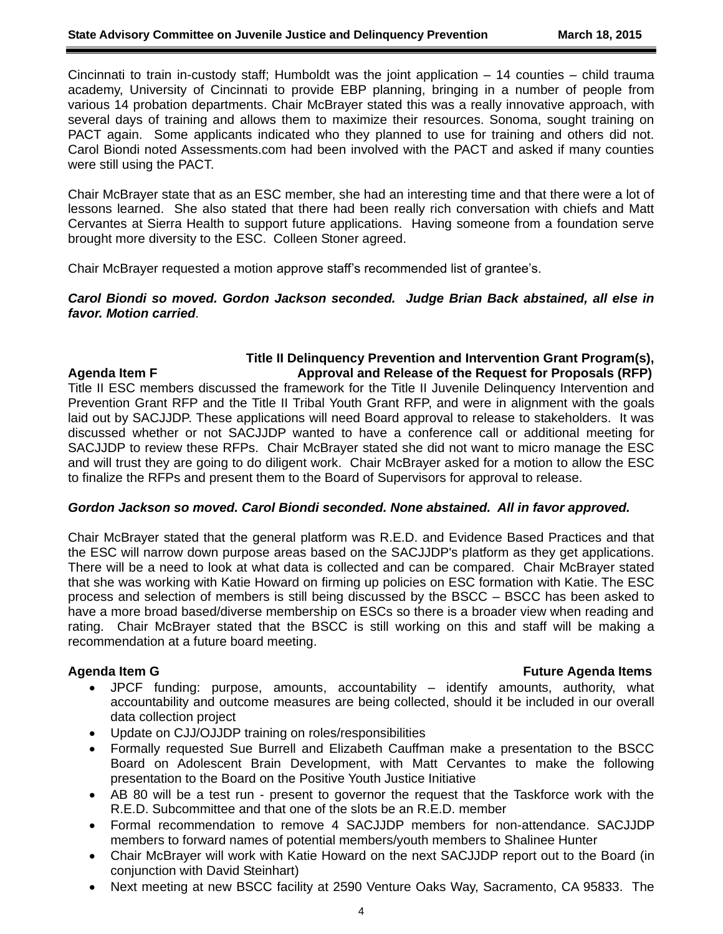Cincinnati to train in-custody staff; Humboldt was the joint application – 14 counties – child trauma academy, University of Cincinnati to provide EBP planning, bringing in a number of people from various 14 probation departments. Chair McBrayer stated this was a really innovative approach, with several days of training and allows them to maximize their resources. Sonoma, sought training on PACT again. Some applicants indicated who they planned to use for training and others did not. Carol Biondi noted Assessments.com had been involved with the PACT and asked if many counties were still using the PACT.

Chair McBrayer state that as an ESC member, she had an interesting time and that there were a lot of lessons learned. She also stated that there had been really rich conversation with chiefs and Matt Cervantes at Sierra Health to support future applications. Having someone from a foundation serve brought more diversity to the ESC. Colleen Stoner agreed.

Chair McBrayer requested a motion approve staff's recommended list of grantee's.

*Carol Biondi so moved. Gordon Jackson seconded. Judge Brian Back abstained, all else in favor. Motion carried.*

## **Title II Delinquency Prevention and Intervention Grant Program(s), Agenda Item F Approval and Release of the Request for Proposals (RFP)**

Title II ESC members discussed the framework for the Title II Juvenile Delinquency Intervention and Prevention Grant RFP and the Title II Tribal Youth Grant RFP, and were in alignment with the goals laid out by SACJJDP. These applications will need Board approval to release to stakeholders. It was discussed whether or not SACJJDP wanted to have a conference call or additional meeting for SACJJDP to review these RFPs. Chair McBrayer stated she did not want to micro manage the ESC and will trust they are going to do diligent work. Chair McBrayer asked for a motion to allow the ESC to finalize the RFPs and present them to the Board of Supervisors for approval to release.

## *Gordon Jackson so moved. Carol Biondi seconded. None abstained. All in favor approved.*

Chair McBrayer stated that the general platform was R.E.D. and Evidence Based Practices and that the ESC will narrow down purpose areas based on the SACJJDP's platform as they get applications. There will be a need to look at what data is collected and can be compared. Chair McBrayer stated that she was working with Katie Howard on firming up policies on ESC formation with Katie. The ESC process and selection of members is still being discussed by the BSCC – BSCC has been asked to have a more broad based/diverse membership on ESCs so there is a broader view when reading and rating. Chair McBrayer stated that the BSCC is still working on this and staff will be making a recommendation at a future board meeting.

## **Agenda Item G Future Agenda Items**

- JPCF funding: purpose, amounts, accountability identify amounts, authority, what accountability and outcome measures are being collected, should it be included in our overall data collection project
- Update on CJJ/OJJDP training on roles/responsibilities
- Formally requested Sue Burrell and Elizabeth Cauffman make a presentation to the BSCC Board on Adolescent Brain Development, with Matt Cervantes to make the following presentation to the Board on the Positive Youth Justice Initiative
- AB 80 will be a test run present to governor the request that the Taskforce work with the R.E.D. Subcommittee and that one of the slots be an R.E.D. member
- Formal recommendation to remove 4 SACJJDP members for non-attendance. SACJJDP members to forward names of potential members/youth members to Shalinee Hunter
- Chair McBrayer will work with Katie Howard on the next SACJJDP report out to the Board (in conjunction with David Steinhart)
- Next meeting at new BSCC facility at 2590 Venture Oaks Way, Sacramento, CA 95833. The